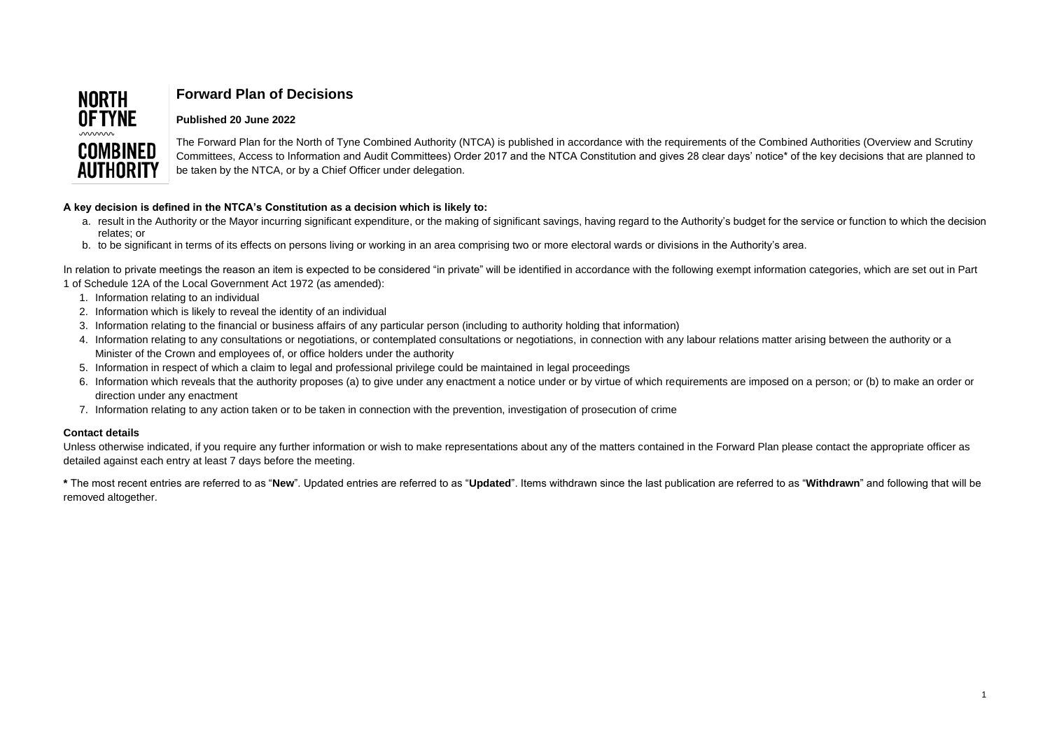# **NORTH OF TYNE COMBINED AUTHORITY**

# **Forward Plan of Decisions**

**Published 20 June 2022**

The Forward Plan for the North of Tyne Combined Authority (NTCA) is published in accordance with the requirements of the Combined Authorities (Overview and Scrutiny Committees, Access to Information and Audit Committees) Order 2017 and the NTCA Constitution and gives 28 clear days' notice\* of the key decisions that are planned to be taken by the NTCA, or by a Chief Officer under delegation.

### **A key decision is defined in the NTCA's Constitution as a decision which is likely to:**

In relation to private meetings the reason an item is expected to be considered "in private" will be identified in accordance with the following exempt information categories, which are set out in Part 1 of Schedule 12A of the Local Government Act 1972 (as amended):

- a. result in the Authority or the Mayor incurring significant expenditure, or the making of significant savings, having regard to the Authority's budget for the service or function to which the decision relates; or
- b. to be significant in terms of its effects on persons living or working in an area comprising two or more electoral wards or divisions in the Authority's area.

\* The most recent entries are referred to as "New". Updated entries are referred to as "Updated". Items withdrawn since the last publication are referred to as "Withdrawn" and following that will be removed altogether.

- 1. Information relating to an individual
- 2. Information which is likely to reveal the identity of an individual
- 3. Information relating to the financial or business affairs of any particular person (including to authority holding that information)
- 4. Information relating to any consultations or negotiations, or contemplated consultations or negotiations, in connection with any labour relations matter arising between the authority or a Minister of the Crown and employees of, or office holders under the authority
- 5. Information in respect of which a claim to legal and professional privilege could be maintained in legal proceedings
- 6. Information which reveals that the authority proposes (a) to give under any enactment a notice under or by virtue of which requirements are imposed on a person; or (b) to make an order or direction under any enactment
- 7. Information relating to any action taken or to be taken in connection with the prevention, investigation of prosecution of crime

#### **Contact details**

Unless otherwise indicated, if you require any further information or wish to make representations about any of the matters contained in the Forward Plan please contact the appropriate officer as detailed against each entry at least 7 days before the meeting.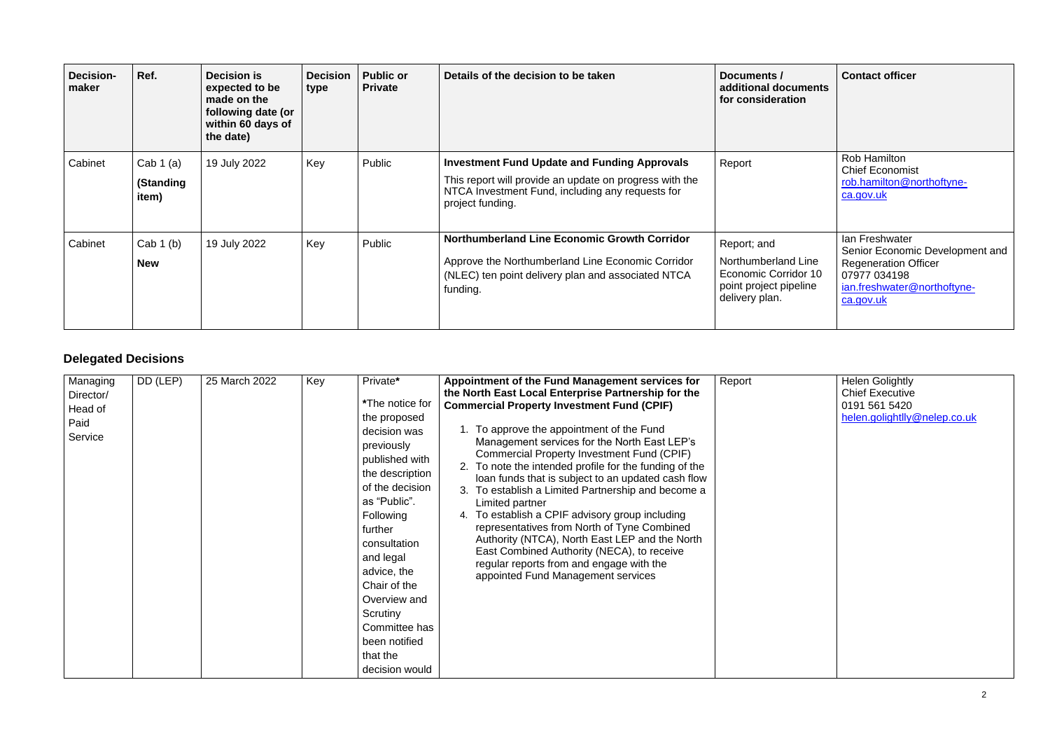| <b>Decision-</b><br>maker | Ref.                             | <b>Decision is</b><br>expected to be<br>made on the<br>following date (or<br>within 60 days of<br>the date) | <b>Decision</b><br>type | <b>Public or</b><br><b>Private</b> | Details of the decision to be taken                                                                                                                                                    | Documents /<br>additional documents<br>for consideration                                                      | <b>Contact officer</b>                                                                                                                       |
|---------------------------|----------------------------------|-------------------------------------------------------------------------------------------------------------|-------------------------|------------------------------------|----------------------------------------------------------------------------------------------------------------------------------------------------------------------------------------|---------------------------------------------------------------------------------------------------------------|----------------------------------------------------------------------------------------------------------------------------------------------|
| Cabinet                   | Cab $1(a)$<br>(Standing<br>item) | 19 July 2022                                                                                                | Key                     | Public                             | <b>Investment Fund Update and Funding Approvals</b><br>This report will provide an update on progress with the<br>NTCA Investment Fund, including any requests for<br>project funding. | Report                                                                                                        | Rob Hamilton<br><b>Chief Economist</b><br>rob.hamilton@northoftyne-<br>ca.gov.uk                                                             |
| Cabinet                   | Cab $1(b)$<br><b>New</b>         | 19 July 2022                                                                                                | Key                     | Public                             | Northumberland Line Economic Growth Corridor<br>Approve the Northumberland Line Economic Corridor<br>(NLEC) ten point delivery plan and associated NTCA<br>funding.                    | Report; and<br>Northumberland Line<br><b>Economic Corridor 10</b><br>point project pipeline<br>delivery plan. | Ian Freshwater<br>Senior Economic Development and<br><b>Regeneration Officer</b><br>07977 034198<br>ian.freshwater@northoftyne-<br>ca.gov.uk |

# **Delegated Decisions**

| Managing<br>Director/<br>Head of<br>Paid<br>Service | DD (LEP) | 25 March 2022 | Key | Private*<br>*The notice for<br>the proposed<br>decision was<br>previously<br>published with<br>the description<br>of the decision<br>as "Public".<br>Following<br>further<br>consultation<br>and legal<br>advice, the<br>Chair of the<br>Overview and<br>Scrutiny<br>Committee has<br>been notified<br>that the<br>decision would | Appointment of the Fund Management services for<br>the North East Local Enterprise Partnership for the<br><b>Commercial Property Investment Fund (CPIF)</b><br>1. To approve the appointment of the Fund<br>Management services for the North East LEP's<br><b>Commercial Property Investment Fund (CPIF)</b><br>2. To note the intended profile for the funding of the<br>loan funds that is subject to an updated cash flow<br>To establish a Limited Partnership and become a<br>3.<br>Limited partner<br>To establish a CPIF advisory group including<br>4.<br>representatives from North of Tyne Combined<br>Authority (NTCA), North East LEP and the North<br>East Combined Authority (NECA), to receive<br>regular reports from and engage with the<br>appointed Fund Management services | Report | <b>Helen Golightly</b><br><b>Chief Executive</b><br>0191 561 5420<br>helen.golightlly@nelep.co.uk |
|-----------------------------------------------------|----------|---------------|-----|-----------------------------------------------------------------------------------------------------------------------------------------------------------------------------------------------------------------------------------------------------------------------------------------------------------------------------------|--------------------------------------------------------------------------------------------------------------------------------------------------------------------------------------------------------------------------------------------------------------------------------------------------------------------------------------------------------------------------------------------------------------------------------------------------------------------------------------------------------------------------------------------------------------------------------------------------------------------------------------------------------------------------------------------------------------------------------------------------------------------------------------------------|--------|---------------------------------------------------------------------------------------------------|
|-----------------------------------------------------|----------|---------------|-----|-----------------------------------------------------------------------------------------------------------------------------------------------------------------------------------------------------------------------------------------------------------------------------------------------------------------------------------|--------------------------------------------------------------------------------------------------------------------------------------------------------------------------------------------------------------------------------------------------------------------------------------------------------------------------------------------------------------------------------------------------------------------------------------------------------------------------------------------------------------------------------------------------------------------------------------------------------------------------------------------------------------------------------------------------------------------------------------------------------------------------------------------------|--------|---------------------------------------------------------------------------------------------------|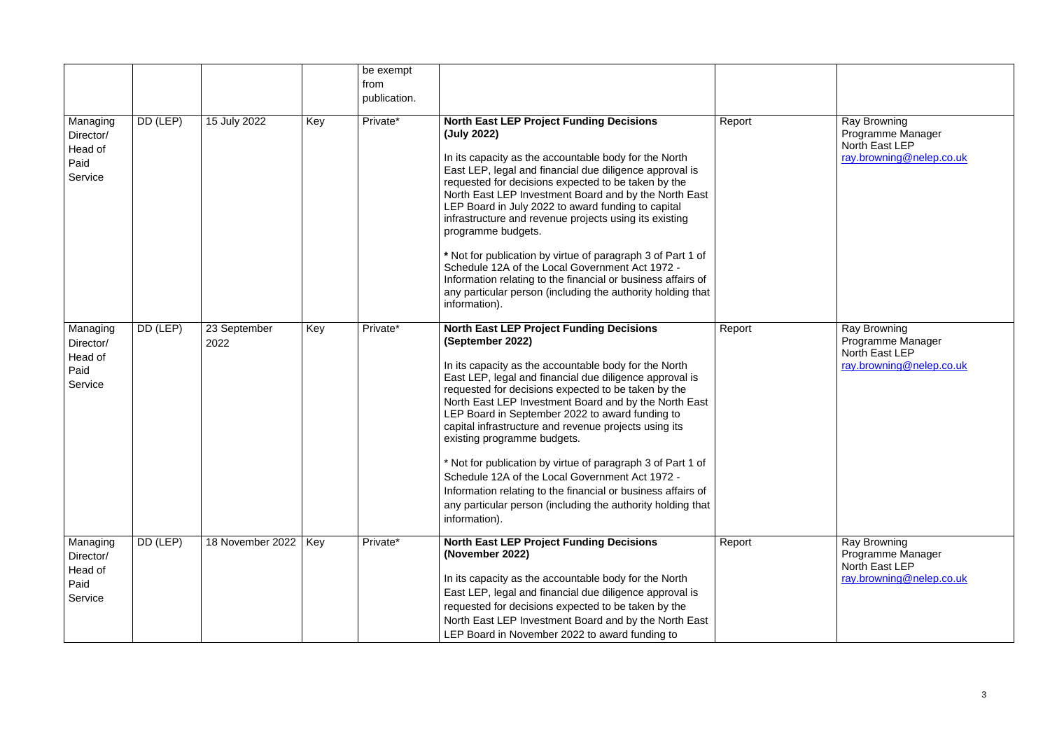|                                                     |          |                      |     | be exempt<br>from<br>publication. |                                                                                                                                                                                                                                                                                                                                                                                                                                                                                                                                                                                                                                                                                                                      |        |
|-----------------------------------------------------|----------|----------------------|-----|-----------------------------------|----------------------------------------------------------------------------------------------------------------------------------------------------------------------------------------------------------------------------------------------------------------------------------------------------------------------------------------------------------------------------------------------------------------------------------------------------------------------------------------------------------------------------------------------------------------------------------------------------------------------------------------------------------------------------------------------------------------------|--------|
| Managing<br>Director/<br>Head of<br>Paid<br>Service | DD (LEP) | 15 July 2022         | Key | Private*                          | <b>North East LEP Project Funding Decisions</b><br>(July 2022)<br>In its capacity as the accountable body for the North<br>East LEP, legal and financial due diligence approval is<br>requested for decisions expected to be taken by the<br>North East LEP Investment Board and by the North East<br>LEP Board in July 2022 to award funding to capital<br>infrastructure and revenue projects using its existing<br>programme budgets.<br>* Not for publication by virtue of paragraph 3 of Part 1 of<br>Schedule 12A of the Local Government Act 1972 -<br>Information relating to the financial or business affairs of<br>any particular person (including the authority holding that<br>information).           | Report |
| Managing<br>Director/<br>Head of<br>Paid<br>Service | DD (LEP) | 23 September<br>2022 | Key | Private*                          | <b>North East LEP Project Funding Decisions</b><br>(September 2022)<br>In its capacity as the accountable body for the North<br>East LEP, legal and financial due diligence approval is<br>requested for decisions expected to be taken by the<br>North East LEP Investment Board and by the North East<br>LEP Board in September 2022 to award funding to<br>capital infrastructure and revenue projects using its<br>existing programme budgets.<br>* Not for publication by virtue of paragraph 3 of Part 1 of<br>Schedule 12A of the Local Government Act 1972 -<br>Information relating to the financial or business affairs of<br>any particular person (including the authority holding that<br>information). | Report |
| Managing<br>Director/<br>Head of<br>Paid<br>Service | DD (LEP) | 18 November 2022     | Key | Private*                          | <b>North East LEP Project Funding Decisions</b><br>(November 2022)<br>In its capacity as the accountable body for the North<br>East LEP, legal and financial due diligence approval is<br>requested for decisions expected to be taken by the<br>North East LEP Investment Board and by the North East<br>LEP Board in November 2022 to award funding to                                                                                                                                                                                                                                                                                                                                                             | Report |

| Report | Ray Browning<br>Programme Manager<br>North East LEP<br>ray.browning@nelep.co.uk |
|--------|---------------------------------------------------------------------------------|
| Report | Ray Browning<br>Programme Manager<br>North East LEP<br>ray.browning@nelep.co.uk |
| Report | Ray Browning<br>Programme Manager<br>North East LEP<br>ray.browning@nelep.co.uk |